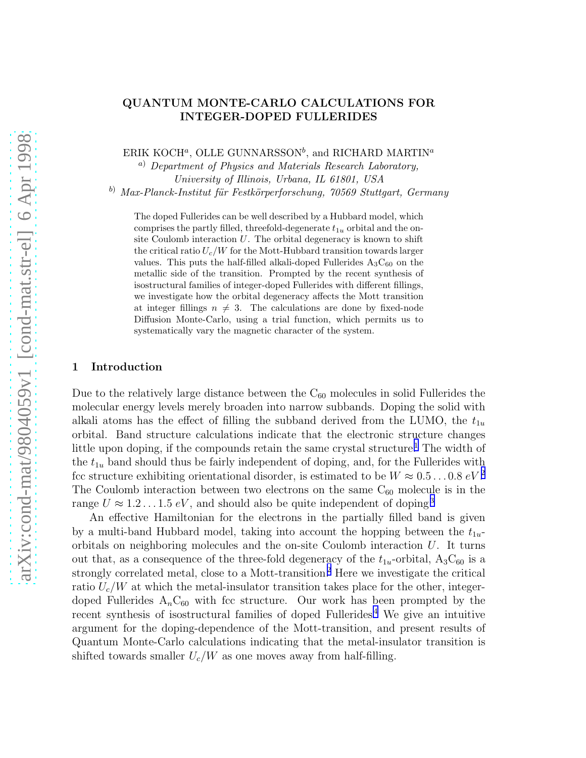# QUANTUM MONTE-CARLO CALCULATIONS FOR INTEGER-DOPED FULLERIDES

ERIK KOCH<sup>a</sup>, OLLE GUNNARSSON<sup>b</sup>, and RICHARD MARTIN<sup>a</sup>

<sup>a</sup>) Department of Physics and Materials Research Laboratory, University of Illinois, Urbana, IL 61801, USA

b) Max-Planck-Institut für Festkörperforschung, 70569 Stuttgart, Germany

The doped Fullerides can be well described by a Hubbard model, which comprises the partly filled, threefold-degenerate  $t_{1u}$  orbital and the onsite Coulomb interaction  $U$ . The orbital degeneracy is known to shift the critical ratio  $U_c/W$  for the Mott-Hubbard transition towards larger values. This puts the half-filled alkali-doped Fullerides  $A_3C_{60}$  on the metallic side of the transition. Prompted by the recent synthesis of isostructural families of integer-doped Fullerides with different fillings, we investigate how the orbital degeneracy affects the Mott transition at integer fillings  $n \neq 3$ . The calculations are done by fixed-node Diffusion Monte-Carlo, using a trial function, which permits us to systematically vary the magnetic character of the system.

### 1 Introduction

Due to the relatively large distance between the  $C_{60}$  molecules in solid Fullerides the molecular energy levels merely broaden into narrow subbands. Doping the solid with alkali atoms has the effect of filling the subband derived from the LUMO, the  $t_{1u}$ orbital. Band structure calculations indicate that the electronic structure changes little upon doping, if the compounds retain the same crystal structure.<sup>[1](#page-3-0)</sup> The width of the  $t_{1u}$  band should thus be fairly independent of doping, and, for the Fullerides with fcc structure exhibiting orientational disorder, is estimated to be  $W \approx 0.5...0.8 \text{ eV}^2$  $W \approx 0.5...0.8 \text{ eV}^2$ The Coulomb interaction between two electrons on the same  $C_{60}$  molecule is in the range  $U \approx 1.2 \ldots 1.5 \, eV$ , and should also be quite independent of doping<sup>[3](#page-3-0)</sup>

An effective Hamiltonian for the electrons in the partially filled band is given by a multi-band Hubbard model, taking into account the hopping between the  $t_{1u}$ orbitals on neighboring molecules and the on-site Coulomb interaction  $U$ . It turns out that, as a consequence of the three-fold degeneracy of the  $t_{1u}$ -orbital,  $A_3C_{60}$  is a strongly correlated metal, close to a Mott-transition.<sup>[2](#page-3-0)</sup> Here we investigate the critical ratio  $U_c/W$  at which the metal-insulator transition takes place for the other, integerdoped Fullerides  $A_nC_{60}$  with fcc structure. Our work has been prompted by the recent synthesis of isostructural families of doped Fullerides.[4](#page-3-0) We give an intuitive argument for the doping-dependence of the Mott-transition, and present results of Quantum Monte-Carlo calculations indicating that the metal-insulator transition is shifted towards smaller  $U_c/W$  as one moves away from half-filling.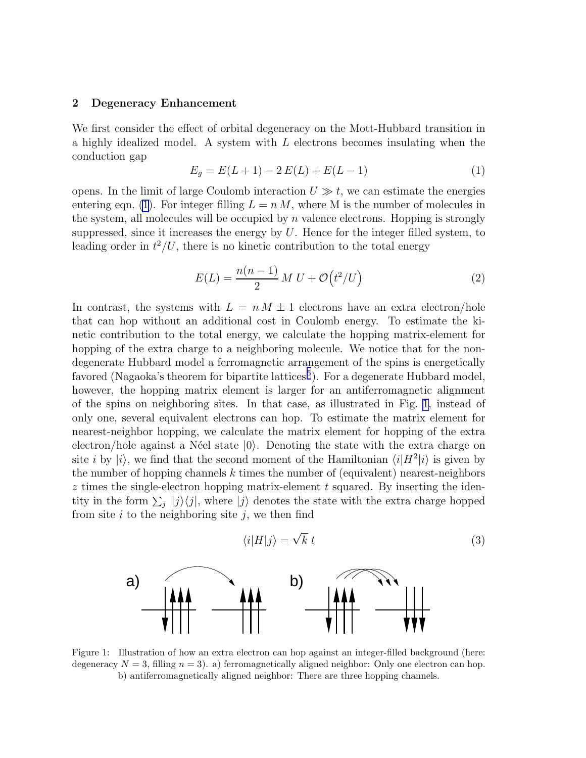#### <span id="page-1-0"></span>2 Degeneracy Enhancement

We first consider the effect of orbital degeneracy on the Mott-Hubbard transition in a highly idealized model. A system with L electrons becomes insulating when the conduction gap

$$
E_g = E(L+1) - 2E(L) + E(L-1)
$$
\n(1)

opens. In the limit of large Coulomb interaction  $U \gg t$ , we can estimate the energies entering eqn. (1). For integer filling  $L = n M$ , where M is the number of molecules in the system, all molecules will be occupied by  $n$  valence electrons. Hopping is strongly suppressed, since it increases the energy by  $U$ . Hence for the integer filled system, to leading order in  $t^2/U$ , there is no kinetic contribution to the total energy

$$
E(L) = \frac{n(n-1)}{2} M U + \mathcal{O}(t^2 / U)
$$
 (2)

In contrast, the systems with  $L = n M \pm 1$  electrons have an extra electron/hole that can hop without an additional cost in Coulomb energy. To estimate the kinetic contribution to the total energy, we calculate the hopping matrix-element for hopping of the extra charge to a neighboring molecule. We notice that for the nondegenerate Hubbard model a ferromagnetic arrangement of the spins is energetically favored (Nagaoka's theorem for bipartite lattices<sup>[5](#page-3-0)</sup>). For a degenerate Hubbard model, however, the hopping matrix element is larger for an antiferromagnetic alignment of the spins on neighboring sites. In that case, as illustrated in Fig. 1, instead of only one, several equivalent electrons can hop. To estimate the matrix element for nearest-neighbor hopping, we calculate the matrix element for hopping of the extra electron/hole against a Néel state  $|0\rangle$ . Denoting the state with the extra charge on site *i* by  $|i\rangle$ , we find that the second moment of the Hamiltonian  $\langle i|H^2|i\rangle$  is given by the number of hopping channels  $k$  times the number of (equivalent) nearest-neighbors  $z$  times the single-electron hopping matrix-element  $t$  squared. By inserting the identity in the form  $\sum_j |j\rangle\langle j|$ , where  $|j\rangle$  denotes the state with the extra charge hopped from site  $i$  to the neighboring site  $j$ , we then find

$$
\langle i|H|j\rangle = \sqrt{k} \ t \tag{3}
$$



Figure 1: Illustration of how an extra electron can hop against an integer-filled background (here: degeneracy  $N = 3$ , filling  $n = 3$ ). a) ferromagnetically aligned neighbor: Only one electron can hop. b) antiferromagnetically aligned neighbor: There are three hopping channels.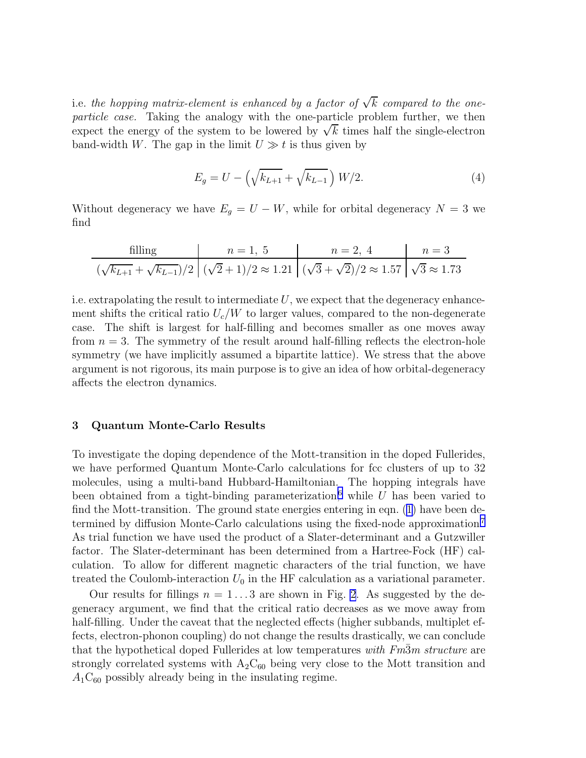i.e. the hopping matrix-element is enhanced by a factor of  $\sqrt{k}\,$  compared to the oneparticle case. Taking the analogy with the one-particle problem further, we then expect the energy of the system to be lowered by  $\sqrt{k}$  times half the single-electron band-width W. The gap in the limit  $U \gg t$  is thus given by

$$
E_g = U - \left(\sqrt{k_{L+1}} + \sqrt{k_{L-1}}\right) W/2.
$$
 (4)

Without degeneracy we have  $E_g = U - W$ , while for orbital degeneracy  $N = 3$  we find

filling 
$$
n = 1, 5
$$
  $n = 2, 4$   $n = 3$   
 $(\sqrt{k_{L+1}} + \sqrt{k_{L-1}})/2$   $(\sqrt{2} + 1)/2 \approx 1.21$   $(\sqrt{3} + \sqrt{2})/2 \approx 1.57$   $\sqrt{3} \approx 1.73$ 

i.e. extrapolating the result to intermediate  $U$ , we expect that the degeneracy enhancement shifts the critical ratio  $U_c/W$  to larger values, compared to the non-degenerate case. The shift is largest for half-filling and becomes smaller as one moves away from  $n = 3$ . The symmetry of the result around half-filling reflects the electron-hole symmetry (we have implicitly assumed a bipartite lattice). We stress that the above argument is not rigorous, its main purpose is to give an idea of how orbital-degeneracy affects the electron dynamics.

## 3 Quantum Monte-Carlo Results

To investigate the doping dependence of the Mott-transition in the doped Fullerides, we have performed Quantum Monte-Carlo calculations for fcc clusters of up to 32 molecules, using a multi-band Hubbard-Hamiltonian. The hopping integrals have been obtained from a tight-binding parameterization,<sup>[6](#page-3-0)</sup> while U has been varied to find the Mott-transition. The ground state energies entering in eqn.([1\)](#page-1-0) have been determined by diffusion Monte-Carlo calculations using the fixed-node approximation.[7](#page-3-0) As trial function we have used the product of a Slater-determinant and a Gutzwiller factor. The Slater-determinant has been determined from a Hartree-Fock (HF) calculation. To allow for different magnetic characters of the trial function, we have treated the Coulomb-interaction  $U_0$  in the HF calculation as a variational parameter.

Our results for fillings  $n = 1...3$  are shown in Fig. [2](#page-3-0). As suggested by the degeneracy argument, we find that the critical ratio decreases as we move away from half-filling. Under the caveat that the neglected effects (higher subbands, multiplet effects, electron-phonon coupling) do not change the results drastically, we can conclude that the hypothetical doped Fullerides at low temperatures with  $F<sub>m3m</sub>$  structure are strongly correlated systems with  $A_2C_{60}$  being very close to the Mott transition and  $A_1C_{60}$  possibly already being in the insulating regime.